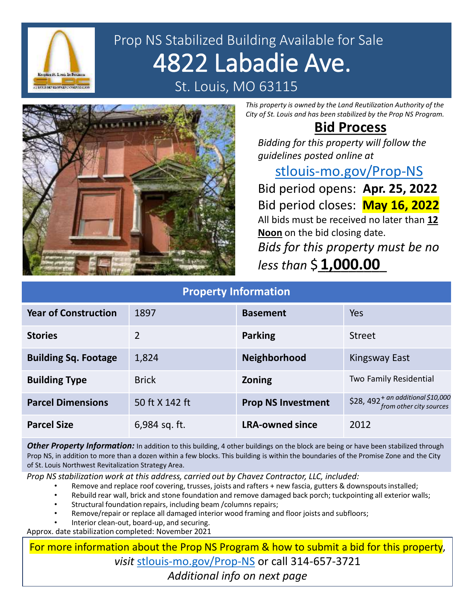

## Prop NS Stabilized Building Available for Sale 4822 Labadie Ave. St. Louis, MO 63115



*This property is owned by the Land Reutilization Authority of the City of St. Louis and has been stabilized by the Prop NS Program.*

## **Bid Process**

*Bidding for this property will follow the guidelines posted online at* 

[stlouis-mo.gov/Prop-NS](https://stlouis-mo.gov/Prop-NS) 

Bid period opens: **Apr. 25, 2022** Bid period closes: **May 16, 2022** All bids must be received no later than **12 Noon** on the bid closing date. *Bids for this property must be no less than* \$\_\_\_\_\_\_\_\_\_ **1,000.00**

| <b>Property Information</b> |                |                           |                                                               |
|-----------------------------|----------------|---------------------------|---------------------------------------------------------------|
| <b>Year of Construction</b> | 1897           | <b>Basement</b>           | Yes                                                           |
| <b>Stories</b>              | $\overline{2}$ | <b>Parking</b>            | <b>Street</b>                                                 |
| <b>Building Sq. Footage</b> | 1,824          | Neighborhood              | <b>Kingsway East</b>                                          |
| <b>Building Type</b>        | <b>Brick</b>   | <b>Zoning</b>             | Two Family Residential                                        |
| <b>Parcel Dimensions</b>    | 50 ft X 142 ft | <b>Prop NS Investment</b> | $$28,492^+$ an additional \$10,000<br>from other city sources |
| <b>Parcel Size</b>          | 6,984 sq. ft.  | <b>LRA-owned since</b>    | 2012                                                          |

**Other Property Information:** In addition to this building, 4 other buildings on the block are being or have been stabilized through Prop NS, in addition to more than a dozen within a few blocks. This building is within the boundaries of the Promise Zone and the City of St. Louis Northwest Revitalization Strategy Area.

*Prop NS stabilization work at this address, carried out by Chavez Contractor, LLC, included:*

- Remove and replace roof covering, trusses, joists and rafters + new fascia, gutters & downspouts installed;
- Rebuild rear wall, brick and stone foundation and remove damaged back porch; tuckpointing all exterior walls;
- Structural foundation repairs, including beam /columns repairs;
- Remove/repair or replace all damaged interior wood framing and floor joists and subfloors;
- Interior clean-out, board-up, and securing.

Approx. date stabilization completed: November 2021

For more information about the Prop NS Program & how to submit a bid for this property, *visit* [stlouis-mo.gov/Prop-NS](https://stlouis-mo.gov/Prop-NS) or call 314-657-3721 *Additional info on next page*